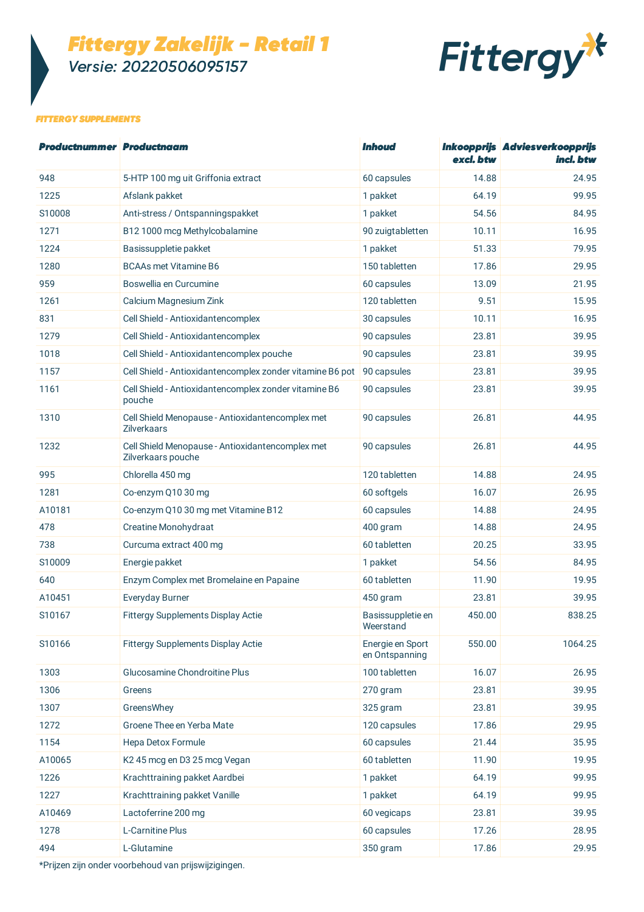*Fittergy Zakelijk - Retail 1 Versie: 20220506095157*



### *FITTERGY SUPPLEMENTS*

| <b>Productnummer Productnaam</b> |                                                                        | <b>Inhoud</b>                      | excl. btw | Inkoopprijs Adviesverkoopprijs<br>incl. btw |
|----------------------------------|------------------------------------------------------------------------|------------------------------------|-----------|---------------------------------------------|
| 948                              | 5-HTP 100 mg uit Griffonia extract                                     | 60 capsules                        | 14.88     | 24.95                                       |
| 1225                             | Afslank pakket                                                         | 1 pakket                           | 64.19     | 99.95                                       |
| S10008                           | Anti-stress / Ontspanningspakket                                       | 1 pakket                           | 54.56     | 84.95                                       |
| 1271                             | B12 1000 mcg Methylcobalamine                                          | 90 zuigtabletten                   | 10.11     | 16.95                                       |
| 1224                             | Basissuppletie pakket                                                  | 1 pakket                           | 51.33     | 79.95                                       |
| 1280                             | <b>BCAAs met Vitamine B6</b>                                           | 150 tabletten                      | 17.86     | 29.95                                       |
| 959                              | Boswellia en Curcumine                                                 | 60 capsules                        | 13.09     | 21.95                                       |
| 1261                             | Calcium Magnesium Zink                                                 | 120 tabletten                      | 9.51      | 15.95                                       |
| 831                              | Cell Shield - Antioxidantencomplex                                     | 30 capsules                        | 10.11     | 16.95                                       |
| 1279                             | Cell Shield - Antioxidantencomplex                                     | 90 capsules                        | 23.81     | 39.95                                       |
| 1018                             | Cell Shield - Antioxidantencomplex pouche                              | 90 capsules                        | 23.81     | 39.95                                       |
| 1157                             | Cell Shield - Antioxidantencomplex zonder vitamine B6 pot              | 90 capsules                        | 23.81     | 39.95                                       |
| 1161                             | Cell Shield - Antioxidantencomplex zonder vitamine B6<br>pouche        | 90 capsules                        | 23.81     | 39.95                                       |
| 1310                             | Cell Shield Menopause - Antioxidantencomplex met<br><b>Zilverkaars</b> | 90 capsules                        | 26.81     | 44.95                                       |
| 1232                             | Cell Shield Menopause - Antioxidantencomplex met<br>Zilverkaars pouche | 90 capsules                        | 26.81     | 44.95                                       |
| 995                              | Chlorella 450 mg                                                       | 120 tabletten                      | 14.88     | 24.95                                       |
| 1281                             | Co-enzym Q10 30 mg                                                     | 60 softgels                        | 16.07     | 26.95                                       |
| A10181                           | Co-enzym Q10 30 mg met Vitamine B12                                    | 60 capsules                        | 14.88     | 24.95                                       |
| 478                              | Creatine Monohydraat                                                   | 400 gram                           | 14.88     | 24.95                                       |
| 738                              | Curcuma extract 400 mg                                                 | 60 tabletten                       | 20.25     | 33.95                                       |
| S10009                           | Energie pakket                                                         | 1 pakket                           | 54.56     | 84.95                                       |
| 640                              | Enzym Complex met Bromelaine en Papaine                                | 60 tabletten                       | 11.90     | 19.95                                       |
| A10451                           | <b>Everyday Burner</b>                                                 | 450 gram                           | 23.81     | 39.95                                       |
| S10167                           | <b>Fittergy Supplements Display Actie</b>                              | Basissuppletie en<br>Weerstand     | 450.00    | 838.25                                      |
| S10166                           | Fittergy Supplements Display Actie                                     | Energie en Sport<br>en Ontspanning | 550.00    | 1064.25                                     |
| 1303                             | Glucosamine Chondroitine Plus                                          | 100 tabletten                      | 16.07     | 26.95                                       |
| 1306                             | Greens                                                                 | 270 gram                           | 23.81     | 39.95                                       |
| 1307                             | GreensWhey                                                             | 325 gram                           | 23.81     | 39.95                                       |
| 1272                             | Groene Thee en Yerba Mate                                              | 120 capsules                       | 17.86     | 29.95                                       |
| 1154                             | Hepa Detox Formule                                                     | 60 capsules                        | 21.44     | 35.95                                       |
| A10065                           | K2 45 mcg en D3 25 mcg Vegan                                           | 60 tabletten                       | 11.90     | 19.95                                       |
| 1226                             | Krachttraining pakket Aardbei                                          | 1 pakket                           | 64.19     | 99.95                                       |
| 1227                             | Krachttraining pakket Vanille                                          | 1 pakket                           | 64.19     | 99.95                                       |
| A10469                           | Lactoferrine 200 mg                                                    | 60 vegicaps                        | 23.81     | 39.95                                       |
| 1278                             | L-Carnitine Plus                                                       | 60 capsules                        | 17.26     | 28.95                                       |
| 494                              | L-Glutamine                                                            | 350 gram                           | 17.86     | 29.95                                       |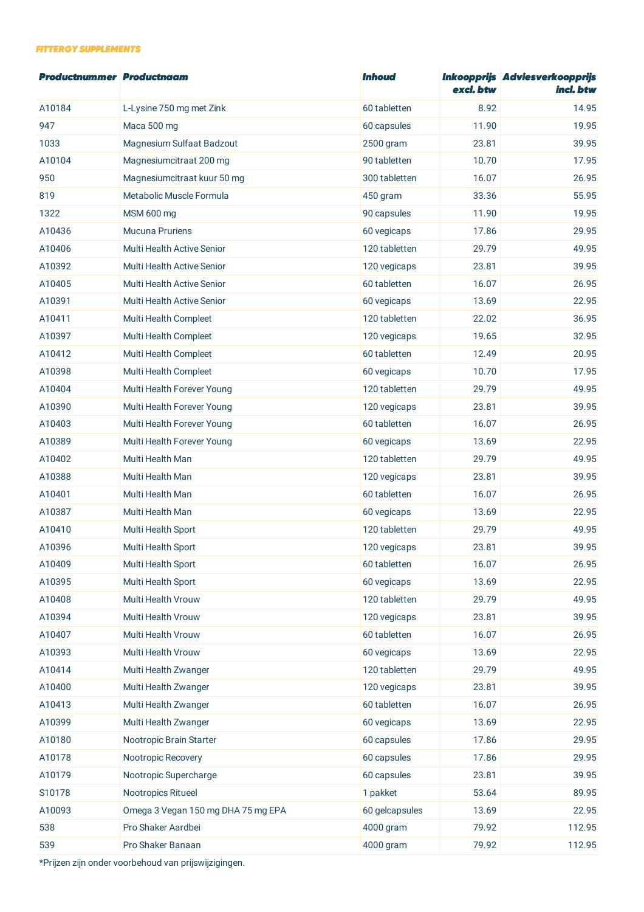#### *FITTERGY SUPPLEMENTS*

| <b>Productnummer Productnaam</b> |                                    | <b>Inhoud</b>  | excl. btw | Inkoopprijs Adviesverkoopprijs<br>incl. btw |
|----------------------------------|------------------------------------|----------------|-----------|---------------------------------------------|
| A10184                           | L-Lysine 750 mg met Zink           | 60 tabletten   | 8.92      | 14.95                                       |
| 947                              | Maca 500 mg                        | 60 capsules    | 11.90     | 19.95                                       |
| 1033                             | Magnesium Sulfaat Badzout          | 2500 gram      | 23.81     | 39.95                                       |
| A10104                           | Magnesiumcitraat 200 mg            | 90 tabletten   | 10.70     | 17.95                                       |
| 950                              | Magnesiumcitraat kuur 50 mg        | 300 tabletten  | 16.07     | 26.95                                       |
| 819                              | Metabolic Muscle Formula           | 450 gram       | 33.36     | 55.95                                       |
| 1322                             | MSM 600 mg                         | 90 capsules    | 11.90     | 19.95                                       |
| A10436                           | <b>Mucuna Pruriens</b>             | 60 vegicaps    | 17.86     | 29.95                                       |
| A10406                           | <b>Multi Health Active Senior</b>  | 120 tabletten  | 29.79     | 49.95                                       |
| A10392                           | <b>Multi Health Active Senior</b>  | 120 vegicaps   | 23.81     | 39.95                                       |
| A10405                           | Multi Health Active Senior         | 60 tabletten   | 16.07     | 26.95                                       |
| A10391                           | <b>Multi Health Active Senior</b>  | 60 vegicaps    | 13.69     | 22.95                                       |
| A10411                           | Multi Health Compleet              | 120 tabletten  | 22.02     | 36.95                                       |
| A10397                           | Multi Health Compleet              | 120 vegicaps   | 19.65     | 32.95                                       |
| A10412                           | Multi Health Compleet              | 60 tabletten   | 12.49     | 20.95                                       |
| A10398                           | Multi Health Compleet              | 60 vegicaps    | 10.70     | 17.95                                       |
| A10404                           | Multi Health Forever Young         | 120 tabletten  | 29.79     | 49.95                                       |
| A10390                           | Multi Health Forever Young         | 120 vegicaps   | 23.81     | 39.95                                       |
| A10403                           | Multi Health Forever Young         | 60 tabletten   | 16.07     | 26.95                                       |
| A10389                           | Multi Health Forever Young         | 60 vegicaps    | 13.69     | 22.95                                       |
| A10402                           | Multi Health Man                   | 120 tabletten  | 29.79     | 49.95                                       |
| A10388                           | Multi Health Man                   | 120 vegicaps   | 23.81     | 39.95                                       |
| A10401                           | Multi Health Man                   | 60 tabletten   | 16.07     | 26.95                                       |
| A10387                           | Multi Health Man                   | 60 vegicaps    | 13.69     | 22.95                                       |
| A10410                           | Multi Health Sport                 | 120 tabletten  | 29.79     | 49.95                                       |
| A10396                           | <b>Multi Health Sport</b>          | 120 vegicaps   | 23.81     | 39.95                                       |
| A10409                           | Multi Health Sport                 | 60 tabletten   | 16.07     | 26.95                                       |
| A10395                           | Multi Health Sport                 | 60 vegicaps    | 13.69     | 22.95                                       |
| A10408                           | Multi Health Vrouw                 | 120 tabletten  | 29.79     | 49.95                                       |
| A10394                           | Multi Health Vrouw                 | 120 vegicaps   | 23.81     | 39.95                                       |
| A10407                           | Multi Health Vrouw                 | 60 tabletten   | 16.07     | 26.95                                       |
| A10393                           | Multi Health Vrouw                 | 60 vegicaps    | 13.69     | 22.95                                       |
| A10414                           | Multi Health Zwanger               | 120 tabletten  | 29.79     | 49.95                                       |
| A10400                           | Multi Health Zwanger               | 120 vegicaps   | 23.81     | 39.95                                       |
| A10413                           | Multi Health Zwanger               | 60 tabletten   | 16.07     | 26.95                                       |
| A10399                           | Multi Health Zwanger               | 60 vegicaps    | 13.69     | 22.95                                       |
| A10180                           | Nootropic Brain Starter            | 60 capsules    | 17.86     | 29.95                                       |
| A10178                           | Nootropic Recovery                 | 60 capsules    | 17.86     | 29.95                                       |
| A10179                           | Nootropic Supercharge              | 60 capsules    | 23.81     | 39.95                                       |
| S10178                           | Nootropics Ritueel                 | 1 pakket       | 53.64     | 89.95                                       |
| A10093                           | Omega 3 Vegan 150 mg DHA 75 mg EPA | 60 gelcapsules | 13.69     | 22.95                                       |
| 538                              | Pro Shaker Aardbei                 | 4000 gram      | 79.92     | 112.95                                      |
| 539                              | Pro Shaker Banaan                  | 4000 gram      | 79.92     | 112.95                                      |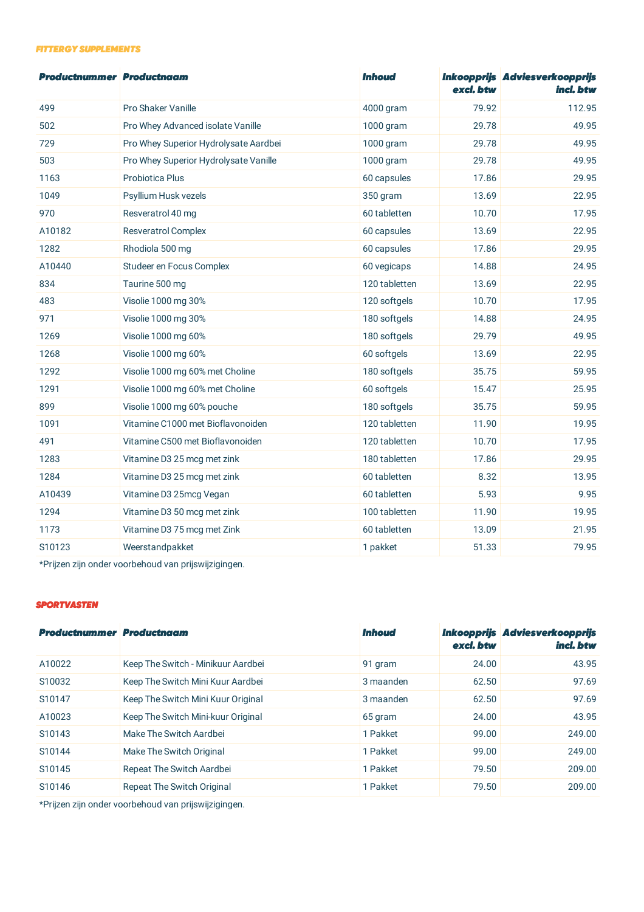#### *FITTERGY SUPPLEMENTS*

| <b>Productnummer Productnaam</b> |                                       | <b>Inhoud</b> | excl. btw | Inkoopprijs Adviesverkoopprijs<br>incl. btw |
|----------------------------------|---------------------------------------|---------------|-----------|---------------------------------------------|
| 499                              | Pro Shaker Vanille                    | 4000 gram     | 79.92     | 112.95                                      |
| 502                              | Pro Whey Advanced isolate Vanille     | 1000 gram     | 29.78     | 49.95                                       |
| 729                              | Pro Whey Superior Hydrolysate Aardbei | 1000 gram     | 29.78     | 49.95                                       |
| 503                              | Pro Whey Superior Hydrolysate Vanille | 1000 gram     | 29.78     | 49.95                                       |
| 1163                             | Probiotica Plus                       | 60 capsules   | 17.86     | 29.95                                       |
| 1049                             | Psyllium Husk vezels                  | 350 gram      | 13.69     | 22.95                                       |
| 970                              | Resveratrol 40 mg                     | 60 tabletten  | 10.70     | 17.95                                       |
| A10182                           | <b>Resveratrol Complex</b>            | 60 capsules   | 13.69     | 22.95                                       |
| 1282                             | Rhodiola 500 mg                       | 60 capsules   | 17.86     | 29.95                                       |
| A10440                           | Studeer en Focus Complex              | 60 vegicaps   | 14.88     | 24.95                                       |
| 834                              | Taurine 500 mg                        | 120 tabletten | 13.69     | 22.95                                       |
| 483                              | Visolie 1000 mg 30%                   | 120 softgels  | 10.70     | 17.95                                       |
| 971                              | Visolie 1000 mg 30%                   | 180 softgels  | 14.88     | 24.95                                       |
| 1269                             | Visolie 1000 mg 60%                   | 180 softgels  | 29.79     | 49.95                                       |
| 1268                             | Visolie 1000 mg 60%                   | 60 softgels   | 13.69     | 22.95                                       |
| 1292                             | Visolie 1000 mg 60% met Choline       | 180 softgels  | 35.75     | 59.95                                       |
| 1291                             | Visolie 1000 mg 60% met Choline       | 60 softgels   | 15.47     | 25.95                                       |
| 899                              | Visolie 1000 mg 60% pouche            | 180 softgels  | 35.75     | 59.95                                       |
| 1091                             | Vitamine C1000 met Bioflavonoiden     | 120 tabletten | 11.90     | 19.95                                       |
| 491                              | Vitamine C500 met Bioflavonoiden      | 120 tabletten | 10.70     | 17.95                                       |
| 1283                             | Vitamine D3 25 mcg met zink           | 180 tabletten | 17.86     | 29.95                                       |
| 1284                             | Vitamine D3 25 mcg met zink           | 60 tabletten  | 8.32      | 13.95                                       |
| A10439                           | Vitamine D3 25mcg Vegan               | 60 tabletten  | 5.93      | 9.95                                        |
| 1294                             | Vitamine D3 50 mcg met zink           | 100 tabletten | 11.90     | 19.95                                       |
| 1173                             | Vitamine D3 75 mcg met Zink           | 60 tabletten  | 13.09     | 21.95                                       |
| S10123                           | Weerstandpakket                       | 1 pakket      | 51.33     | 79.95                                       |

\*Prijzen zijn onder voorbehoud van prijswijzigingen.

### *SPORTVASTEN*

| <b>Productnummer</b> | <b>Productnaam</b>                 | <i><b>Inhoud</b></i> | excl. btw | Inkoopprijs Adviesverkoopprijs<br>incl. btw |
|----------------------|------------------------------------|----------------------|-----------|---------------------------------------------|
| A10022               | Keep The Switch - Minikuur Aardbei | 91 gram              | 24.00     | 43.95                                       |
| S10032               | Keep The Switch Mini Kuur Aardbei  | 3 maanden            | 62.50     | 97.69                                       |
| S10147               | Keep The Switch Mini Kuur Original | 3 maanden            | 62.50     | 97.69                                       |
| A10023               | Keep The Switch Mini-kuur Original | 65 gram              | 24.00     | 43.95                                       |
| S <sub>10143</sub>   | Make The Switch Aardbei            | 1 Pakket             | 99.00     | 249.00                                      |
| S10144               | Make The Switch Original           | 1 Pakket             | 99.00     | 249.00                                      |
| S <sub>10145</sub>   | Repeat The Switch Aardbei          | 1 Pakket             | 79.50     | 209.00                                      |
| S10146               | Repeat The Switch Original         | 1 Pakket             | 79.50     | 209.00                                      |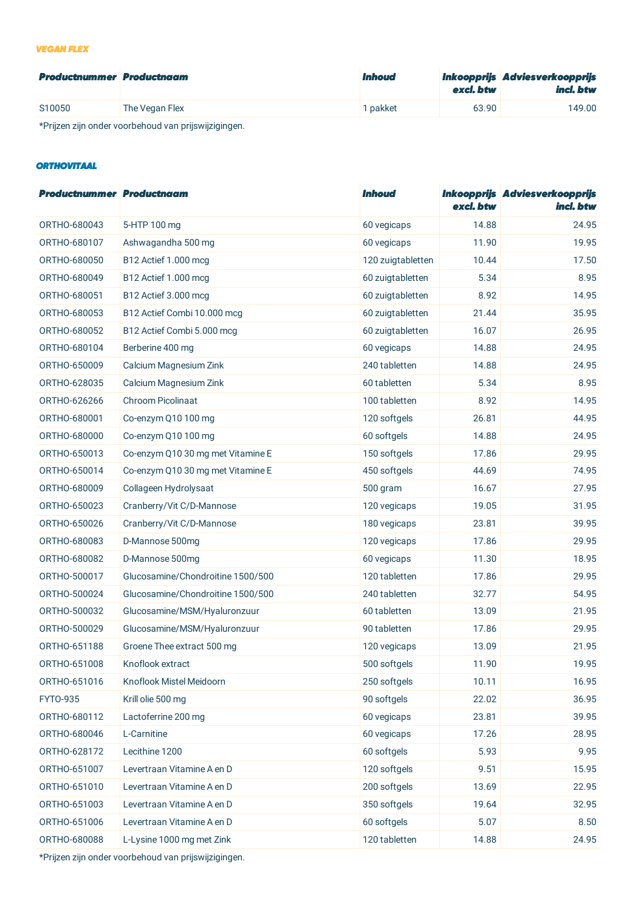### *VEGAN FLEX*

| <b>Productnummer Productnaam</b> |                | <i><b>Inhoud</b></i> | excl. btw | Inkoopprijs Adviesverkoopprijs<br>incl. btw |
|----------------------------------|----------------|----------------------|-----------|---------------------------------------------|
| S10050                           | The Vegan Flex | I pakket             | 63.90     | 149.00                                      |

\*Prijzen zijn onder voorbehoud van prijswijzigingen.

# *ORTHOVITAAL*

| <b>Productnummer Productnaam</b> |                                   | <i><b>Inhoud</b></i> | excl. btw | Inkoopprijs Adviesverkoopprijs<br>incl. btw |
|----------------------------------|-----------------------------------|----------------------|-----------|---------------------------------------------|
| ORTHO-680043                     | 5-HTP 100 mg                      | 60 vegicaps          | 14.88     | 24.95                                       |
| ORTHO-680107                     | Ashwagandha 500 mg                | 60 vegicaps          | 11.90     | 19.95                                       |
| ORTHO-680050                     | B12 Actief 1.000 mcg              | 120 zuigtabletten    | 10.44     | 17.50                                       |
| ORTHO-680049                     | B12 Actief 1.000 mcg              | 60 zuigtabletten     | 5.34      | 8.95                                        |
| ORTHO-680051                     | B12 Actief 3.000 mcg              | 60 zuigtabletten     | 8.92      | 14.95                                       |
| ORTHO-680053                     | B12 Actief Combi 10.000 mcg       | 60 zuigtabletten     | 21.44     | 35.95                                       |
| ORTHO-680052                     | B12 Actief Combi 5.000 mcg        | 60 zuigtabletten     | 16.07     | 26.95                                       |
| ORTHO-680104                     | Berberine 400 mg                  | 60 vegicaps          | 14.88     | 24.95                                       |
| ORTHO-650009                     | Calcium Magnesium Zink            | 240 tabletten        | 14.88     | 24.95                                       |
| ORTHO-628035                     | Calcium Magnesium Zink            | 60 tabletten         | 5.34      | 8.95                                        |
| ORTHO-626266                     | Chroom Picolinaat                 | 100 tabletten        | 8.92      | 14.95                                       |
| ORTHO-680001                     | Co-enzym Q10 100 mg               | 120 softgels         | 26.81     | 44.95                                       |
| ORTHO-680000                     | Co-enzym Q10 100 mg               | 60 softgels          | 14.88     | 24.95                                       |
| ORTHO-650013                     | Co-enzym Q10 30 mg met Vitamine E | 150 softgels         | 17.86     | 29.95                                       |
| ORTHO-650014                     | Co-enzym Q10 30 mg met Vitamine E | 450 softgels         | 44.69     | 74.95                                       |
| ORTHO-680009                     | Collageen Hydrolysaat             | 500 gram             | 16.67     | 27.95                                       |
| ORTHO-650023                     | Cranberry/Vit C/D-Mannose         | 120 vegicaps         | 19.05     | 31.95                                       |
| ORTHO-650026                     | Cranberry/Vit C/D-Mannose         | 180 vegicaps         | 23.81     | 39.95                                       |
| ORTHO-680083                     | D-Mannose 500mg                   | 120 vegicaps         | 17.86     | 29.95                                       |
| ORTHO-680082                     | D-Mannose 500mg                   | 60 vegicaps          | 11.30     | 18.95                                       |
| ORTHO-500017                     | Glucosamine/Chondroitine 1500/500 | 120 tabletten        | 17.86     | 29.95                                       |
| ORTHO-500024                     | Glucosamine/Chondroitine 1500/500 | 240 tabletten        | 32.77     | 54.95                                       |
| ORTHO-500032                     | Glucosamine/MSM/Hyaluronzuur      | 60 tabletten         | 13.09     | 21.95                                       |
| ORTHO-500029                     | Glucosamine/MSM/Hyaluronzuur      | 90 tabletten         | 17.86     | 29.95                                       |
| ORTHO-651188                     | Groene Thee extract 500 mg        | 120 vegicaps         | 13.09     | 21.95                                       |
| ORTHO-651008                     | Knoflook extract                  | 500 softgels         | 11.90     | 19.95                                       |
| ORTHO-651016                     | Knoflook Mistel Meidoorn          | 250 softgels         | 10.11     | 16.95                                       |
| FYT0-935                         | Krill olie 500 mg                 | 90 softgels          | 22.02     | 36.95                                       |
| ORTHO-680112                     | Lactoferrine 200 mg               | 60 vegicaps          | 23.81     | 39.95                                       |
| ORTHO-680046                     | L-Carnitine                       | 60 vegicaps          | 17.26     | 28.95                                       |
| ORTHO-628172                     | Lecithine 1200                    | 60 softgels          | 5.93      | 9.95                                        |
| ORTHO-651007                     | Levertraan Vitamine A en D        | 120 softgels         | 9.51      | 15.95                                       |
| ORTHO-651010                     | Levertraan Vitamine A en D        | 200 softgels         | 13.69     | 22.95                                       |
| ORTHO-651003                     | Levertraan Vitamine A en D        | 350 softgels         | 19.64     | 32.95                                       |
| ORTHO-651006                     | Levertraan Vitamine A en D        | 60 softgels          | 5.07      | 8.50                                        |
| ORTHO-680088                     | L-Lysine 1000 mg met Zink         | 120 tabletten        | 14.88     | 24.95                                       |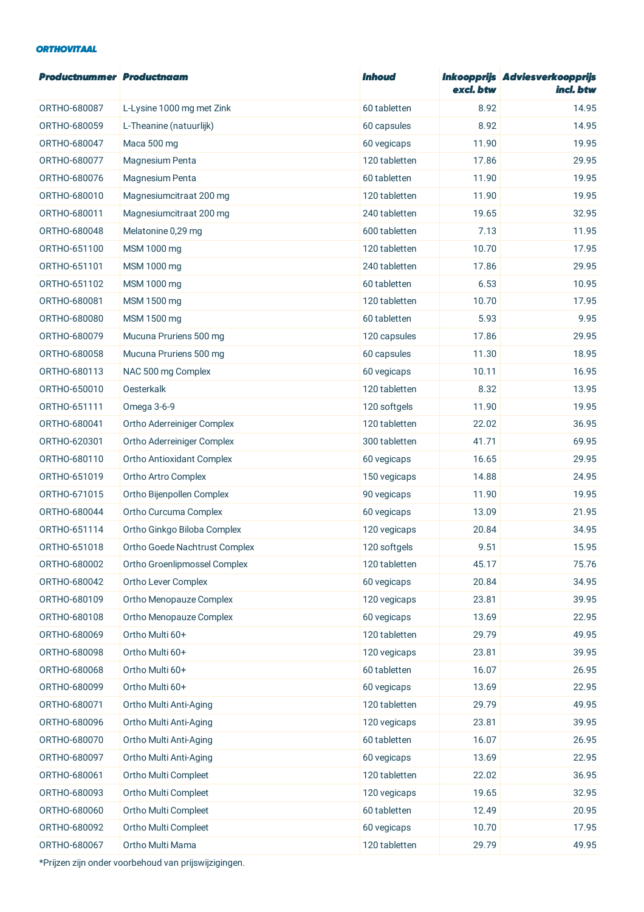### *ORTHOVITAAL*

| <b>Productnummer Productnaam</b> |                               | <b>Inhoud</b> | excl. btw | Inkoopprijs Adviesverkoopprijs<br>incl. btw |
|----------------------------------|-------------------------------|---------------|-----------|---------------------------------------------|
| ORTHO-680087                     | L-Lysine 1000 mg met Zink     | 60 tabletten  | 8.92      | 14.95                                       |
| ORTHO-680059                     | L-Theanine (natuurlijk)       | 60 capsules   | 8.92      | 14.95                                       |
| ORTHO-680047                     | Maca 500 mg                   | 60 vegicaps   | 11.90     | 19.95                                       |
| ORTHO-680077                     | Magnesium Penta               | 120 tabletten | 17.86     | 29.95                                       |
| ORTHO-680076                     | Magnesium Penta               | 60 tabletten  | 11.90     | 19.95                                       |
| ORTHO-680010                     | Magnesiumcitraat 200 mg       | 120 tabletten | 11.90     | 19.95                                       |
| ORTHO-680011                     | Magnesiumcitraat 200 mg       | 240 tabletten | 19.65     | 32.95                                       |
| ORTHO-680048                     | Melatonine 0,29 mg            | 600 tabletten | 7.13      | 11.95                                       |
| ORTHO-651100                     | MSM 1000 mg                   | 120 tabletten | 10.70     | 17.95                                       |
| ORTHO-651101                     | MSM 1000 mg                   | 240 tabletten | 17.86     | 29.95                                       |
| ORTHO-651102                     | MSM 1000 mg                   | 60 tabletten  | 6.53      | 10.95                                       |
| ORTHO-680081                     | MSM 1500 mg                   | 120 tabletten | 10.70     | 17.95                                       |
| ORTHO-680080                     | MSM 1500 mg                   | 60 tabletten  | 5.93      | 9.95                                        |
| ORTHO-680079                     | Mucuna Pruriens 500 mg        | 120 capsules  | 17.86     | 29.95                                       |
| ORTHO-680058                     | Mucuna Pruriens 500 mg        | 60 capsules   | 11.30     | 18.95                                       |
| ORTHO-680113                     | NAC 500 mg Complex            | 60 vegicaps   | 10.11     | 16.95                                       |
| ORTHO-650010                     | Oesterkalk                    | 120 tabletten | 8.32      | 13.95                                       |
| ORTHO-651111                     | Omega 3-6-9                   | 120 softgels  | 11.90     | 19.95                                       |
| ORTHO-680041                     | Ortho Aderreiniger Complex    | 120 tabletten | 22.02     | 36.95                                       |
| ORTHO-620301                     | Ortho Aderreiniger Complex    | 300 tabletten | 41.71     | 69.95                                       |
| ORTHO-680110                     | Ortho Antioxidant Complex     | 60 vegicaps   | 16.65     | 29.95                                       |
| ORTHO-651019                     | Ortho Artro Complex           | 150 vegicaps  | 14.88     | 24.95                                       |
| ORTHO-671015                     | Ortho Bijenpollen Complex     | 90 vegicaps   | 11.90     | 19.95                                       |
| ORTHO-680044                     | Ortho Curcuma Complex         | 60 vegicaps   | 13.09     | 21.95                                       |
| ORTHO-651114                     | Ortho Ginkgo Biloba Complex   | 120 vegicaps  | 20.84     | 34.95                                       |
| ORTHO-651018                     | Ortho Goede Nachtrust Complex | 120 softgels  | 9.51      | 15.95                                       |
| ORTHO-680002                     | Ortho Groenlipmossel Complex  | 120 tabletten | 45.17     | 75.76                                       |
| ORTHO-680042                     | Ortho Lever Complex           | 60 vegicaps   | 20.84     | 34.95                                       |
| ORTHO-680109                     | Ortho Menopauze Complex       | 120 vegicaps  | 23.81     | 39.95                                       |
| ORTHO-680108                     | Ortho Menopauze Complex       | 60 vegicaps   | 13.69     | 22.95                                       |
| ORTHO-680069                     | Ortho Multi 60+               | 120 tabletten | 29.79     | 49.95                                       |
| ORTHO-680098                     | Ortho Multi 60+               | 120 vegicaps  | 23.81     | 39.95                                       |
| ORTHO-680068                     | Ortho Multi 60+               | 60 tabletten  | 16.07     | 26.95                                       |
| ORTHO-680099                     | Ortho Multi 60+               | 60 vegicaps   | 13.69     | 22.95                                       |
| ORTHO-680071                     | Ortho Multi Anti-Aging        | 120 tabletten | 29.79     | 49.95                                       |
| ORTHO-680096                     | Ortho Multi Anti-Aging        | 120 vegicaps  | 23.81     | 39.95                                       |
| ORTHO-680070                     | Ortho Multi Anti-Aging        | 60 tabletten  | 16.07     | 26.95                                       |
| ORTHO-680097                     | Ortho Multi Anti-Aging        | 60 vegicaps   | 13.69     | 22.95                                       |
| ORTHO-680061                     | Ortho Multi Compleet          | 120 tabletten | 22.02     | 36.95                                       |
| ORTHO-680093                     | Ortho Multi Compleet          | 120 vegicaps  | 19.65     | 32.95                                       |
| ORTHO-680060                     | Ortho Multi Compleet          | 60 tabletten  | 12.49     | 20.95                                       |
| ORTHO-680092                     | Ortho Multi Compleet          | 60 vegicaps   | 10.70     | 17.95                                       |
| ORTHO-680067                     | Ortho Multi Mama              | 120 tabletten | 29.79     | 49.95                                       |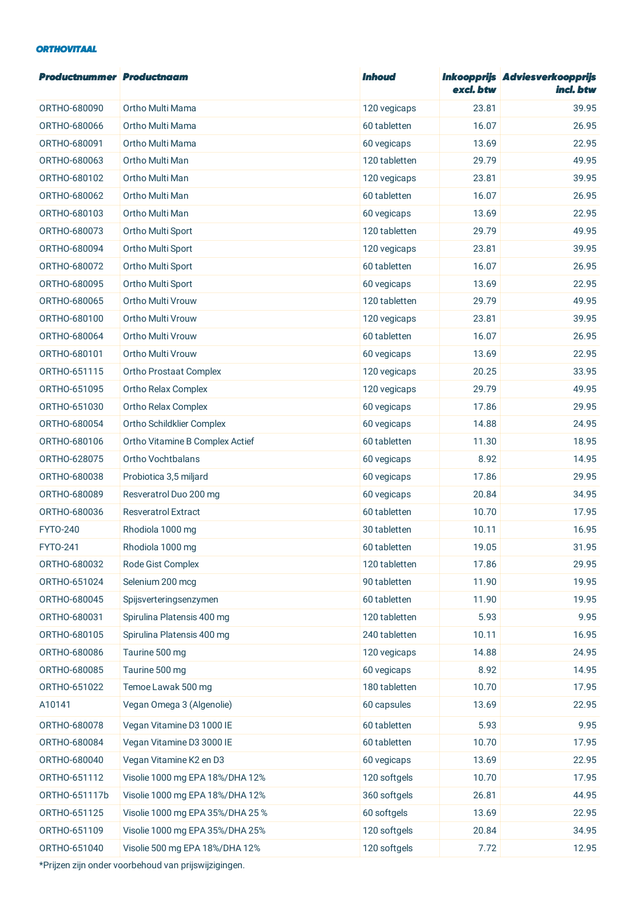### *ORTHOVITAAL*

| <b>Productnummer Productnaam</b> |                                  | <i><b>Inhoud</b></i> | excl. btw | Inkoopprijs Adviesverkoopprijs<br>incl. btw |
|----------------------------------|----------------------------------|----------------------|-----------|---------------------------------------------|
| ORTHO-680090                     | Ortho Multi Mama                 | 120 vegicaps         | 23.81     | 39.95                                       |
| ORTHO-680066                     | Ortho Multi Mama                 | 60 tabletten         | 16.07     | 26.95                                       |
| ORTHO-680091                     | Ortho Multi Mama                 | 60 vegicaps          | 13.69     | 22.95                                       |
| ORTHO-680063                     | Ortho Multi Man                  | 120 tabletten        | 29.79     | 49.95                                       |
| ORTHO-680102                     | Ortho Multi Man                  | 120 vegicaps         | 23.81     | 39.95                                       |
| ORTHO-680062                     | Ortho Multi Man                  | 60 tabletten         | 16.07     | 26.95                                       |
| ORTHO-680103                     | Ortho Multi Man                  | 60 vegicaps          | 13.69     | 22.95                                       |
| ORTHO-680073                     | Ortho Multi Sport                | 120 tabletten        | 29.79     | 49.95                                       |
| ORTHO-680094                     | Ortho Multi Sport                | 120 vegicaps         | 23.81     | 39.95                                       |
| ORTHO-680072                     | Ortho Multi Sport                | 60 tabletten         | 16.07     | 26.95                                       |
| ORTHO-680095                     | Ortho Multi Sport                | 60 vegicaps          | 13.69     | 22.95                                       |
| ORTHO-680065                     | Ortho Multi Vrouw                | 120 tabletten        | 29.79     | 49.95                                       |
| ORTHO-680100                     | Ortho Multi Vrouw                | 120 vegicaps         | 23.81     | 39.95                                       |
| ORTHO-680064                     | Ortho Multi Vrouw                | 60 tabletten         | 16.07     | 26.95                                       |
| ORTHO-680101                     | Ortho Multi Vrouw                | 60 vegicaps          | 13.69     | 22.95                                       |
| ORTHO-651115                     | <b>Ortho Prostaat Complex</b>    | 120 vegicaps         | 20.25     | 33.95                                       |
| ORTHO-651095                     | Ortho Relax Complex              | 120 vegicaps         | 29.79     | 49.95                                       |
| ORTHO-651030                     | Ortho Relax Complex              | 60 vegicaps          | 17.86     | 29.95                                       |
| ORTHO-680054                     | Ortho Schildklier Complex        | 60 vegicaps          | 14.88     | 24.95                                       |
| ORTHO-680106                     | Ortho Vitamine B Complex Actief  | 60 tabletten         | 11.30     | 18.95                                       |
| ORTHO-628075                     | Ortho Vochtbalans                | 60 vegicaps          | 8.92      | 14.95                                       |
| ORTHO-680038                     | Probiotica 3,5 miljard           | 60 vegicaps          | 17.86     | 29.95                                       |
| ORTHO-680089                     | Resveratrol Duo 200 mg           | 60 vegicaps          | 20.84     | 34.95                                       |
| ORTHO-680036                     | <b>Resveratrol Extract</b>       | 60 tabletten         | 10.70     | 17.95                                       |
| <b>FYTO-240</b>                  | Rhodiola 1000 mg                 | 30 tabletten         | 10.11     | 16.95                                       |
| <b>FYTO-241</b>                  | Rhodiola 1000 mg                 | 60 tabletten         | 19.05     | 31.95                                       |
| ORTHO-680032                     | Rode Gist Complex                | 120 tabletten        | 17.86     | 29.95                                       |
| ORTHO-651024                     | Selenium 200 mcg                 | 90 tabletten         | 11.90     | 19.95                                       |
| ORTHO-680045                     | Spijsverteringsenzymen           | 60 tabletten         | 11.90     | 19.95                                       |
| ORTHO-680031                     | Spirulina Platensis 400 mg       | 120 tabletten        | 5.93      | 9.95                                        |
| ORTHO-680105                     | Spirulina Platensis 400 mg       | 240 tabletten        | 10.11     | 16.95                                       |
| ORTHO-680086                     | Taurine 500 mg                   | 120 vegicaps         | 14.88     | 24.95                                       |
| ORTHO-680085                     | Taurine 500 mg                   | 60 vegicaps          | 8.92      | 14.95                                       |
| ORTHO-651022                     | Temoe Lawak 500 mg               | 180 tabletten        | 10.70     | 17.95                                       |
| A10141                           | Vegan Omega 3 (Algenolie)        | 60 capsules          | 13.69     | 22.95                                       |
| ORTHO-680078                     | Vegan Vitamine D3 1000 IE        | 60 tabletten         | 5.93      | 9.95                                        |
| ORTHO-680084                     | Vegan Vitamine D3 3000 IE        | 60 tabletten         | 10.70     | 17.95                                       |
| ORTHO-680040                     | Vegan Vitamine K2 en D3          | 60 vegicaps          | 13.69     | 22.95                                       |
| ORTHO-651112                     | Visolie 1000 mg EPA 18%/DHA 12%  | 120 softgels         | 10.70     | 17.95                                       |
| ORTHO-651117b                    | Visolie 1000 mg EPA 18%/DHA 12%  | 360 softgels         | 26.81     | 44.95                                       |
| ORTHO-651125                     | Visolie 1000 mg EPA 35%/DHA 25 % | 60 softgels          | 13.69     | 22.95                                       |
| ORTHO-651109                     | Visolie 1000 mg EPA 35%/DHA 25%  | 120 softgels         | 20.84     | 34.95                                       |
| ORTHO-651040                     | Visolie 500 mg EPA 18%/DHA 12%   | 120 softgels         | 7.72      | 12.95                                       |